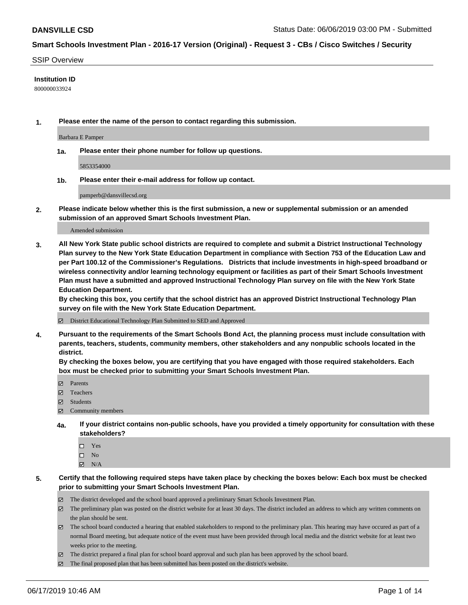#### SSIP Overview

#### **Institution ID**

800000033924

**1. Please enter the name of the person to contact regarding this submission.**

Barbara E Pamper

**1a. Please enter their phone number for follow up questions.**

5853354000

**1b. Please enter their e-mail address for follow up contact.**

pamperb@dansvillecsd.org

**2. Please indicate below whether this is the first submission, a new or supplemental submission or an amended submission of an approved Smart Schools Investment Plan.**

#### Amended submission

**3. All New York State public school districts are required to complete and submit a District Instructional Technology Plan survey to the New York State Education Department in compliance with Section 753 of the Education Law and per Part 100.12 of the Commissioner's Regulations. Districts that include investments in high-speed broadband or wireless connectivity and/or learning technology equipment or facilities as part of their Smart Schools Investment Plan must have a submitted and approved Instructional Technology Plan survey on file with the New York State Education Department.** 

**By checking this box, you certify that the school district has an approved District Instructional Technology Plan survey on file with the New York State Education Department.**

District Educational Technology Plan Submitted to SED and Approved

**4. Pursuant to the requirements of the Smart Schools Bond Act, the planning process must include consultation with parents, teachers, students, community members, other stakeholders and any nonpublic schools located in the district.** 

**By checking the boxes below, you are certifying that you have engaged with those required stakeholders. Each box must be checked prior to submitting your Smart Schools Investment Plan.**

- Parents
- Teachers
- Students
- Community members
- **4a. If your district contains non-public schools, have you provided a timely opportunity for consultation with these stakeholders?**
	- □ Yes
	- $\square$  No
	- $N/A$
- **5. Certify that the following required steps have taken place by checking the boxes below: Each box must be checked prior to submitting your Smart Schools Investment Plan.**
	- The district developed and the school board approved a preliminary Smart Schools Investment Plan.
	- $\boxtimes$  The preliminary plan was posted on the district website for at least 30 days. The district included an address to which any written comments on the plan should be sent.
	- $\boxtimes$  The school board conducted a hearing that enabled stakeholders to respond to the preliminary plan. This hearing may have occured as part of a normal Board meeting, but adequate notice of the event must have been provided through local media and the district website for at least two weeks prior to the meeting.
	- The district prepared a final plan for school board approval and such plan has been approved by the school board.
	- $\boxtimes$  The final proposed plan that has been submitted has been posted on the district's website.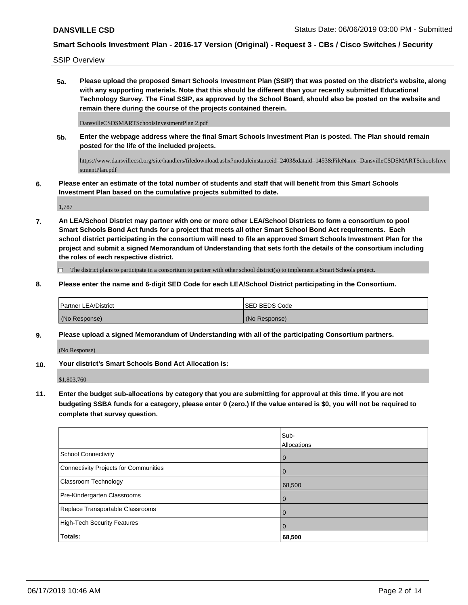SSIP Overview

**5a. Please upload the proposed Smart Schools Investment Plan (SSIP) that was posted on the district's website, along with any supporting materials. Note that this should be different than your recently submitted Educational Technology Survey. The Final SSIP, as approved by the School Board, should also be posted on the website and remain there during the course of the projects contained therein.**

DansvilleCSDSMARTSchoolsInvestmentPlan 2.pdf

**5b. Enter the webpage address where the final Smart Schools Investment Plan is posted. The Plan should remain posted for the life of the included projects.**

https://www.dansvillecsd.org/site/handlers/filedownload.ashx?moduleinstanceid=2403&dataid=1453&FileName=DansvilleCSDSMARTSchoolsInve stmentPlan.pdf

**6. Please enter an estimate of the total number of students and staff that will benefit from this Smart Schools Investment Plan based on the cumulative projects submitted to date.**

1,787

**7. An LEA/School District may partner with one or more other LEA/School Districts to form a consortium to pool Smart Schools Bond Act funds for a project that meets all other Smart School Bond Act requirements. Each school district participating in the consortium will need to file an approved Smart Schools Investment Plan for the project and submit a signed Memorandum of Understanding that sets forth the details of the consortium including the roles of each respective district.**

 $\Box$  The district plans to participate in a consortium to partner with other school district(s) to implement a Smart Schools project.

**8. Please enter the name and 6-digit SED Code for each LEA/School District participating in the Consortium.**

| <b>Partner LEA/District</b> | ISED BEDS Code |
|-----------------------------|----------------|
| (No Response)               | (No Response)  |

**9. Please upload a signed Memorandum of Understanding with all of the participating Consortium partners.**

(No Response)

**10. Your district's Smart Schools Bond Act Allocation is:**

\$1,803,760

**11. Enter the budget sub-allocations by category that you are submitting for approval at this time. If you are not budgeting SSBA funds for a category, please enter 0 (zero.) If the value entered is \$0, you will not be required to complete that survey question.**

|                                              | Sub-<br>Allocations |
|----------------------------------------------|---------------------|
| <b>School Connectivity</b>                   | $\overline{0}$      |
| <b>Connectivity Projects for Communities</b> | $\overline{0}$      |
| <b>Classroom Technology</b>                  | 68,500              |
| Pre-Kindergarten Classrooms                  | $\overline{0}$      |
| Replace Transportable Classrooms             | $\mathbf 0$         |
| <b>High-Tech Security Features</b>           | $\mathbf 0$         |
| Totals:                                      | 68,500              |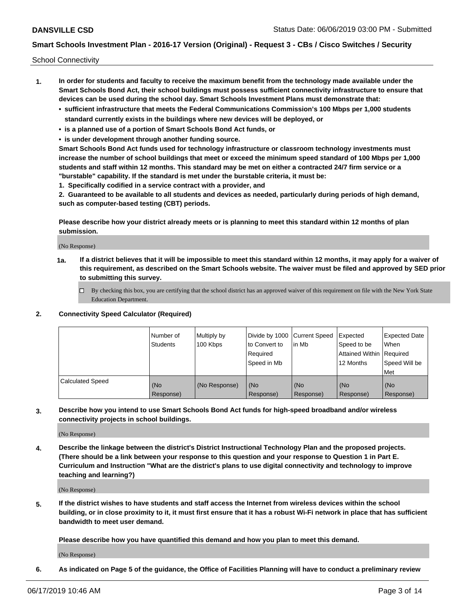School Connectivity

- **1. In order for students and faculty to receive the maximum benefit from the technology made available under the Smart Schools Bond Act, their school buildings must possess sufficient connectivity infrastructure to ensure that devices can be used during the school day. Smart Schools Investment Plans must demonstrate that:**
	- **• sufficient infrastructure that meets the Federal Communications Commission's 100 Mbps per 1,000 students standard currently exists in the buildings where new devices will be deployed, or**
	- **• is a planned use of a portion of Smart Schools Bond Act funds, or**
	- **• is under development through another funding source.**

**Smart Schools Bond Act funds used for technology infrastructure or classroom technology investments must increase the number of school buildings that meet or exceed the minimum speed standard of 100 Mbps per 1,000 students and staff within 12 months. This standard may be met on either a contracted 24/7 firm service or a "burstable" capability. If the standard is met under the burstable criteria, it must be:**

**1. Specifically codified in a service contract with a provider, and**

**2. Guaranteed to be available to all students and devices as needed, particularly during periods of high demand, such as computer-based testing (CBT) periods.**

**Please describe how your district already meets or is planning to meet this standard within 12 months of plan submission.**

(No Response)

**1a. If a district believes that it will be impossible to meet this standard within 12 months, it may apply for a waiver of this requirement, as described on the Smart Schools website. The waiver must be filed and approved by SED prior to submitting this survey.**

 $\Box$  By checking this box, you are certifying that the school district has an approved waiver of this requirement on file with the New York State Education Department.

**2. Connectivity Speed Calculator (Required)**

|                         | Number of<br>Students | Multiply by<br>100 Kbps | Divide by 1000 Current Speed<br>to Convert to<br>Required<br>Speed in Mb | lin Mb           | Expected<br>Speed to be<br>Attained Within   Required<br>12 Months | <b>Expected Date</b><br>When<br>Speed Will be<br><b>Met</b> |
|-------------------------|-----------------------|-------------------------|--------------------------------------------------------------------------|------------------|--------------------------------------------------------------------|-------------------------------------------------------------|
| <b>Calculated Speed</b> | (No<br>Response)      | (No Response)           | (No<br>Response)                                                         | (No<br>Response) | (No<br>Response)                                                   | (No<br>Response)                                            |

**3. Describe how you intend to use Smart Schools Bond Act funds for high-speed broadband and/or wireless connectivity projects in school buildings.**

(No Response)

**4. Describe the linkage between the district's District Instructional Technology Plan and the proposed projects. (There should be a link between your response to this question and your response to Question 1 in Part E. Curriculum and Instruction "What are the district's plans to use digital connectivity and technology to improve teaching and learning?)**

(No Response)

**5. If the district wishes to have students and staff access the Internet from wireless devices within the school building, or in close proximity to it, it must first ensure that it has a robust Wi-Fi network in place that has sufficient bandwidth to meet user demand.**

**Please describe how you have quantified this demand and how you plan to meet this demand.**

(No Response)

**6. As indicated on Page 5 of the guidance, the Office of Facilities Planning will have to conduct a preliminary review**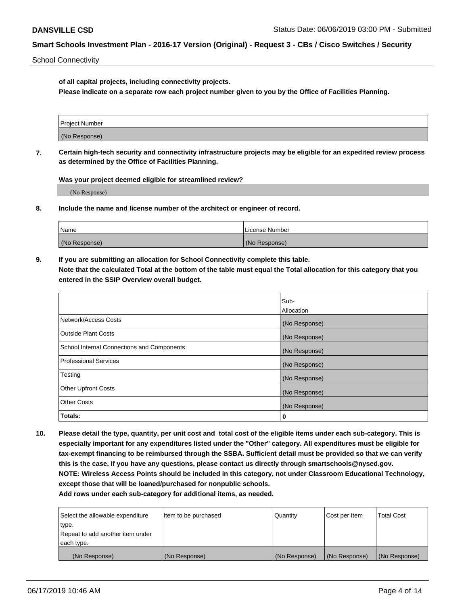School Connectivity

**of all capital projects, including connectivity projects.**

**Please indicate on a separate row each project number given to you by the Office of Facilities Planning.**

| Project Number |  |
|----------------|--|
|                |  |
|                |  |
| (No Response)  |  |
|                |  |

**7. Certain high-tech security and connectivity infrastructure projects may be eligible for an expedited review process as determined by the Office of Facilities Planning.**

**Was your project deemed eligible for streamlined review?**

(No Response)

**8. Include the name and license number of the architect or engineer of record.**

| Name          | License Number |
|---------------|----------------|
| (No Response) | (No Response)  |

**9. If you are submitting an allocation for School Connectivity complete this table. Note that the calculated Total at the bottom of the table must equal the Total allocation for this category that you entered in the SSIP Overview overall budget.** 

|                                            | Sub-              |
|--------------------------------------------|-------------------|
|                                            | <b>Allocation</b> |
| Network/Access Costs                       | (No Response)     |
| <b>Outside Plant Costs</b>                 | (No Response)     |
| School Internal Connections and Components | (No Response)     |
| <b>Professional Services</b>               | (No Response)     |
| Testing                                    | (No Response)     |
| <b>Other Upfront Costs</b>                 | (No Response)     |
| <b>Other Costs</b>                         | (No Response)     |
| Totals:                                    | 0                 |

**10. Please detail the type, quantity, per unit cost and total cost of the eligible items under each sub-category. This is especially important for any expenditures listed under the "Other" category. All expenditures must be eligible for tax-exempt financing to be reimbursed through the SSBA. Sufficient detail must be provided so that we can verify this is the case. If you have any questions, please contact us directly through smartschools@nysed.gov. NOTE: Wireless Access Points should be included in this category, not under Classroom Educational Technology, except those that will be loaned/purchased for nonpublic schools.**

| Select the allowable expenditure | Item to be purchased | Quantity      | Cost per Item | <b>Total Cost</b> |
|----------------------------------|----------------------|---------------|---------------|-------------------|
| type.                            |                      |               |               |                   |
| Repeat to add another item under |                      |               |               |                   |
| each type.                       |                      |               |               |                   |
| (No Response)                    | (No Response)        | (No Response) | (No Response) | (No Response)     |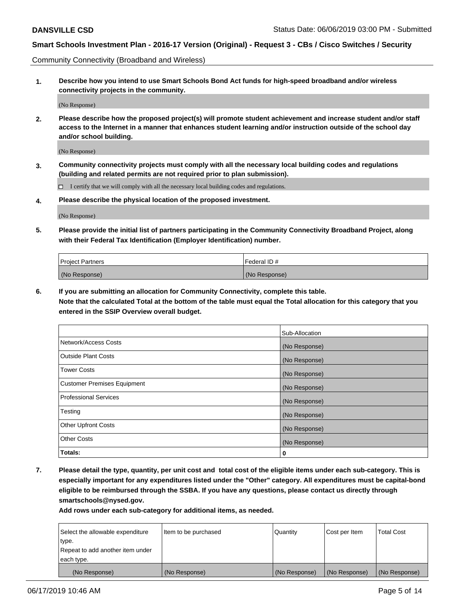Community Connectivity (Broadband and Wireless)

**1. Describe how you intend to use Smart Schools Bond Act funds for high-speed broadband and/or wireless connectivity projects in the community.**

(No Response)

**2. Please describe how the proposed project(s) will promote student achievement and increase student and/or staff access to the Internet in a manner that enhances student learning and/or instruction outside of the school day and/or school building.**

(No Response)

**3. Community connectivity projects must comply with all the necessary local building codes and regulations (building and related permits are not required prior to plan submission).**

 $\Box$  I certify that we will comply with all the necessary local building codes and regulations.

**4. Please describe the physical location of the proposed investment.**

(No Response)

**5. Please provide the initial list of partners participating in the Community Connectivity Broadband Project, along with their Federal Tax Identification (Employer Identification) number.**

| <b>Project Partners</b> | Federal ID#   |
|-------------------------|---------------|
| (No Response)           | (No Response) |

**6. If you are submitting an allocation for Community Connectivity, complete this table.**

**Note that the calculated Total at the bottom of the table must equal the Total allocation for this category that you entered in the SSIP Overview overall budget.**

|                                    | Sub-Allocation |
|------------------------------------|----------------|
| Network/Access Costs               | (No Response)  |
| <b>Outside Plant Costs</b>         | (No Response)  |
| <b>Tower Costs</b>                 | (No Response)  |
| <b>Customer Premises Equipment</b> | (No Response)  |
| <b>Professional Services</b>       | (No Response)  |
| Testing                            | (No Response)  |
| <b>Other Upfront Costs</b>         | (No Response)  |
| <b>Other Costs</b>                 | (No Response)  |
| Totals:                            | 0              |

**7. Please detail the type, quantity, per unit cost and total cost of the eligible items under each sub-category. This is especially important for any expenditures listed under the "Other" category. All expenditures must be capital-bond eligible to be reimbursed through the SSBA. If you have any questions, please contact us directly through smartschools@nysed.gov.**

| Select the allowable expenditure | Item to be purchased | Quantity      | Cost per Item | <b>Total Cost</b> |
|----------------------------------|----------------------|---------------|---------------|-------------------|
| type.                            |                      |               |               |                   |
| Repeat to add another item under |                      |               |               |                   |
| each type.                       |                      |               |               |                   |
| (No Response)                    | (No Response)        | (No Response) | (No Response) | (No Response)     |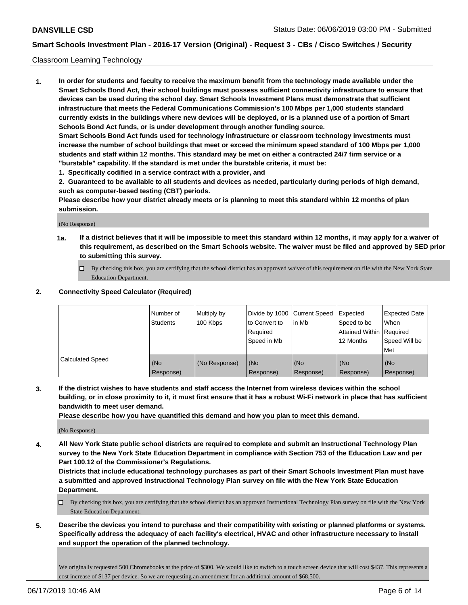#### Classroom Learning Technology

**1. In order for students and faculty to receive the maximum benefit from the technology made available under the Smart Schools Bond Act, their school buildings must possess sufficient connectivity infrastructure to ensure that devices can be used during the school day. Smart Schools Investment Plans must demonstrate that sufficient infrastructure that meets the Federal Communications Commission's 100 Mbps per 1,000 students standard currently exists in the buildings where new devices will be deployed, or is a planned use of a portion of Smart Schools Bond Act funds, or is under development through another funding source. Smart Schools Bond Act funds used for technology infrastructure or classroom technology investments must increase the number of school buildings that meet or exceed the minimum speed standard of 100 Mbps per 1,000 students and staff within 12 months. This standard may be met on either a contracted 24/7 firm service or a "burstable" capability. If the standard is met under the burstable criteria, it must be:**

**1. Specifically codified in a service contract with a provider, and**

**2. Guaranteed to be available to all students and devices as needed, particularly during periods of high demand, such as computer-based testing (CBT) periods.**

**Please describe how your district already meets or is planning to meet this standard within 12 months of plan submission.**

(No Response)

- **1a. If a district believes that it will be impossible to meet this standard within 12 months, it may apply for a waiver of this requirement, as described on the Smart Schools website. The waiver must be filed and approved by SED prior to submitting this survey.**
	- By checking this box, you are certifying that the school district has an approved waiver of this requirement on file with the New York State Education Department.

#### **2. Connectivity Speed Calculator (Required)**

|                         | Number of<br><b>Students</b> | Multiply by<br>100 Kbps | Divide by 1000   Current Speed<br>to Convert to<br>Reauired<br>Speed in Mb | lin Mb           | Expected<br>Speed to be<br>Attained Within   Required<br>12 Months | <b>Expected Date</b><br>When<br>Speed Will be<br>Met |
|-------------------------|------------------------------|-------------------------|----------------------------------------------------------------------------|------------------|--------------------------------------------------------------------|------------------------------------------------------|
| <b>Calculated Speed</b> | (No<br>Response)             | (No Response)           | (No<br>Response)                                                           | (No<br>Response) | (No<br>Response)                                                   | (No<br>Response)                                     |

**3. If the district wishes to have students and staff access the Internet from wireless devices within the school building, or in close proximity to it, it must first ensure that it has a robust Wi-Fi network in place that has sufficient bandwidth to meet user demand.**

**Please describe how you have quantified this demand and how you plan to meet this demand.**

(No Response)

**4. All New York State public school districts are required to complete and submit an Instructional Technology Plan survey to the New York State Education Department in compliance with Section 753 of the Education Law and per Part 100.12 of the Commissioner's Regulations.**

**Districts that include educational technology purchases as part of their Smart Schools Investment Plan must have a submitted and approved Instructional Technology Plan survey on file with the New York State Education Department.**

- $\Box$  By checking this box, you are certifying that the school district has an approved Instructional Technology Plan survey on file with the New York State Education Department.
- **5. Describe the devices you intend to purchase and their compatibility with existing or planned platforms or systems. Specifically address the adequacy of each facility's electrical, HVAC and other infrastructure necessary to install and support the operation of the planned technology.**

We originally requested 500 Chromebooks at the price of \$300. We would like to switch to a touch screen device that will cost \$437. This represents a cost increase of \$137 per device. So we are requesting an amendment for an additional amount of \$68,500.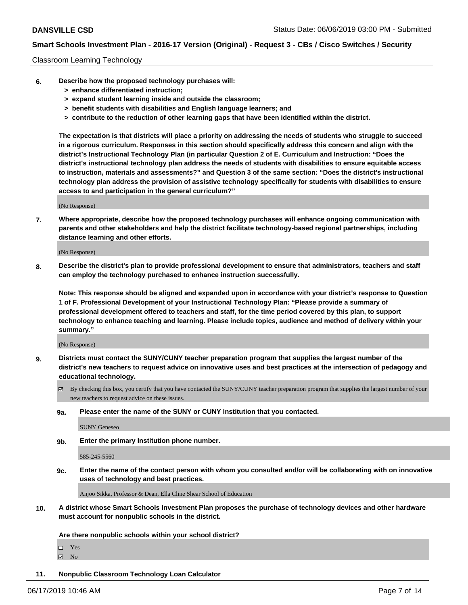#### Classroom Learning Technology

- **6. Describe how the proposed technology purchases will:**
	- **> enhance differentiated instruction;**
	- **> expand student learning inside and outside the classroom;**
	- **> benefit students with disabilities and English language learners; and**
	- **> contribute to the reduction of other learning gaps that have been identified within the district.**

**The expectation is that districts will place a priority on addressing the needs of students who struggle to succeed in a rigorous curriculum. Responses in this section should specifically address this concern and align with the district's Instructional Technology Plan (in particular Question 2 of E. Curriculum and Instruction: "Does the district's instructional technology plan address the needs of students with disabilities to ensure equitable access to instruction, materials and assessments?" and Question 3 of the same section: "Does the district's instructional technology plan address the provision of assistive technology specifically for students with disabilities to ensure access to and participation in the general curriculum?"**

(No Response)

**7. Where appropriate, describe how the proposed technology purchases will enhance ongoing communication with parents and other stakeholders and help the district facilitate technology-based regional partnerships, including distance learning and other efforts.**

(No Response)

**8. Describe the district's plan to provide professional development to ensure that administrators, teachers and staff can employ the technology purchased to enhance instruction successfully.**

**Note: This response should be aligned and expanded upon in accordance with your district's response to Question 1 of F. Professional Development of your Instructional Technology Plan: "Please provide a summary of professional development offered to teachers and staff, for the time period covered by this plan, to support technology to enhance teaching and learning. Please include topics, audience and method of delivery within your summary."**

(No Response)

- **9. Districts must contact the SUNY/CUNY teacher preparation program that supplies the largest number of the district's new teachers to request advice on innovative uses and best practices at the intersection of pedagogy and educational technology.**
	- By checking this box, you certify that you have contacted the SUNY/CUNY teacher preparation program that supplies the largest number of your new teachers to request advice on these issues.
	- **9a. Please enter the name of the SUNY or CUNY Institution that you contacted.**

SUNY Geneseo

**9b. Enter the primary Institution phone number.**

585-245-5560

**9c. Enter the name of the contact person with whom you consulted and/or will be collaborating with on innovative uses of technology and best practices.**

Anjoo Sikka, Professor & Dean, Ella Cline Shear School of Education

**10. A district whose Smart Schools Investment Plan proposes the purchase of technology devices and other hardware must account for nonpublic schools in the district.**

**Are there nonpublic schools within your school district?**

Yes

**Ø** No

**11. Nonpublic Classroom Technology Loan Calculator**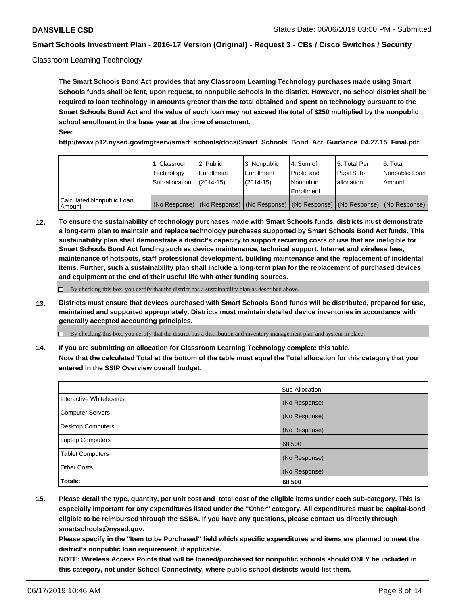#### Classroom Learning Technology

**The Smart Schools Bond Act provides that any Classroom Learning Technology purchases made using Smart Schools funds shall be lent, upon request, to nonpublic schools in the district. However, no school district shall be required to loan technology in amounts greater than the total obtained and spent on technology pursuant to the Smart Schools Bond Act and the value of such loan may not exceed the total of \$250 multiplied by the nonpublic school enrollment in the base year at the time of enactment. See:**

**http://www.p12.nysed.gov/mgtserv/smart\_schools/docs/Smart\_Schools\_Bond\_Act\_Guidance\_04.27.15\_Final.pdf.**

|                                       | 1. Classroom<br>Technology<br>Sub-allocation | 2. Public<br>l Enrollment<br>$(2014-15)$ | l 3. Nonpublic<br>l Enrollment<br>$(2014 - 15)$ | l 4. Sum of<br>Public and<br>l Nonpublic<br>Enrollment                                        | 15. Total Per<br>Pupil Sub-<br>l allocation | l 6. Total<br>Nonpublic Loan<br>Amount |
|---------------------------------------|----------------------------------------------|------------------------------------------|-------------------------------------------------|-----------------------------------------------------------------------------------------------|---------------------------------------------|----------------------------------------|
| Calculated Nonpublic Loan<br>l Amount |                                              |                                          |                                                 | (No Response)   (No Response)   (No Response)   (No Response)   (No Response)   (No Response) |                                             |                                        |

**12. To ensure the sustainability of technology purchases made with Smart Schools funds, districts must demonstrate a long-term plan to maintain and replace technology purchases supported by Smart Schools Bond Act funds. This sustainability plan shall demonstrate a district's capacity to support recurring costs of use that are ineligible for Smart Schools Bond Act funding such as device maintenance, technical support, Internet and wireless fees, maintenance of hotspots, staff professional development, building maintenance and the replacement of incidental items. Further, such a sustainability plan shall include a long-term plan for the replacement of purchased devices and equipment at the end of their useful life with other funding sources.**

 $\Box$  By checking this box, you certify that the district has a sustainability plan as described above.

**13. Districts must ensure that devices purchased with Smart Schools Bond funds will be distributed, prepared for use, maintained and supported appropriately. Districts must maintain detailed device inventories in accordance with generally accepted accounting principles.**

By checking this box, you certify that the district has a distribution and inventory management plan and system in place.

**14. If you are submitting an allocation for Classroom Learning Technology complete this table. Note that the calculated Total at the bottom of the table must equal the Total allocation for this category that you entered in the SSIP Overview overall budget.**

|                         | Sub-Allocation |
|-------------------------|----------------|
| Interactive Whiteboards | (No Response)  |
| Computer Servers        | (No Response)  |
| Desktop Computers       | (No Response)  |
| <b>Laptop Computers</b> | 68,500         |
| <b>Tablet Computers</b> | (No Response)  |
| <b>Other Costs</b>      | (No Response)  |
| <b>Totals:</b>          | 68,500         |

**15. Please detail the type, quantity, per unit cost and total cost of the eligible items under each sub-category. This is especially important for any expenditures listed under the "Other" category. All expenditures must be capital-bond eligible to be reimbursed through the SSBA. If you have any questions, please contact us directly through smartschools@nysed.gov.**

**Please specify in the "Item to be Purchased" field which specific expenditures and items are planned to meet the district's nonpublic loan requirement, if applicable.**

**NOTE: Wireless Access Points that will be loaned/purchased for nonpublic schools should ONLY be included in this category, not under School Connectivity, where public school districts would list them.**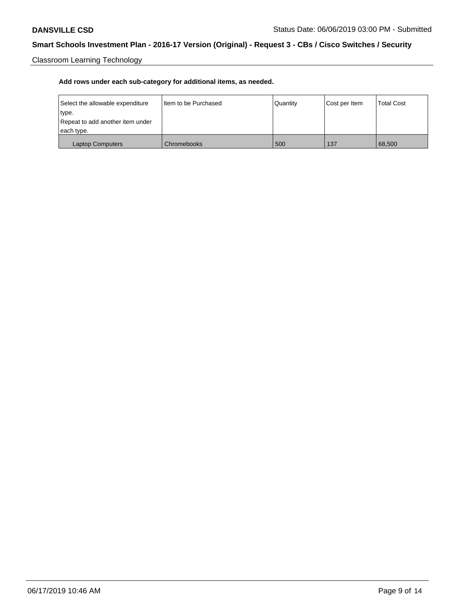Classroom Learning Technology

| Select the allowable expenditure | Iltem to be Purchased | Quantity | Cost per Item | <b>Total Cost</b> |
|----------------------------------|-----------------------|----------|---------------|-------------------|
| type.                            |                       |          |               |                   |
| Repeat to add another item under |                       |          |               |                   |
| each type.                       |                       |          |               |                   |
| <b>Laptop Computers</b>          | Chromebooks           | 500      | 137           | 68,500            |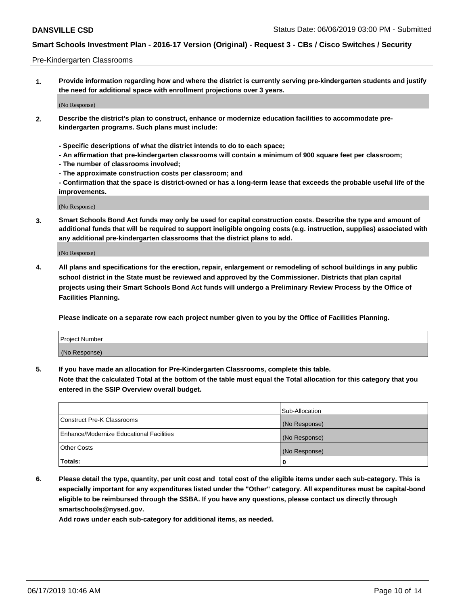#### Pre-Kindergarten Classrooms

**1. Provide information regarding how and where the district is currently serving pre-kindergarten students and justify the need for additional space with enrollment projections over 3 years.**

(No Response)

- **2. Describe the district's plan to construct, enhance or modernize education facilities to accommodate prekindergarten programs. Such plans must include:**
	- **Specific descriptions of what the district intends to do to each space;**
	- **An affirmation that pre-kindergarten classrooms will contain a minimum of 900 square feet per classroom;**
	- **The number of classrooms involved;**
	- **The approximate construction costs per classroom; and**
	- **Confirmation that the space is district-owned or has a long-term lease that exceeds the probable useful life of the improvements.**

(No Response)

**3. Smart Schools Bond Act funds may only be used for capital construction costs. Describe the type and amount of additional funds that will be required to support ineligible ongoing costs (e.g. instruction, supplies) associated with any additional pre-kindergarten classrooms that the district plans to add.**

(No Response)

**4. All plans and specifications for the erection, repair, enlargement or remodeling of school buildings in any public school district in the State must be reviewed and approved by the Commissioner. Districts that plan capital projects using their Smart Schools Bond Act funds will undergo a Preliminary Review Process by the Office of Facilities Planning.**

**Please indicate on a separate row each project number given to you by the Office of Facilities Planning.**

| Project Number |  |
|----------------|--|
| (No Response)  |  |
|                |  |

**5. If you have made an allocation for Pre-Kindergarten Classrooms, complete this table.**

**Note that the calculated Total at the bottom of the table must equal the Total allocation for this category that you entered in the SSIP Overview overall budget.**

|                                          | Sub-Allocation |
|------------------------------------------|----------------|
| Construct Pre-K Classrooms               | (No Response)  |
| Enhance/Modernize Educational Facilities | (No Response)  |
| <b>Other Costs</b>                       | (No Response)  |
| Totals:                                  | 0              |

**6. Please detail the type, quantity, per unit cost and total cost of the eligible items under each sub-category. This is especially important for any expenditures listed under the "Other" category. All expenditures must be capital-bond eligible to be reimbursed through the SSBA. If you have any questions, please contact us directly through smartschools@nysed.gov.**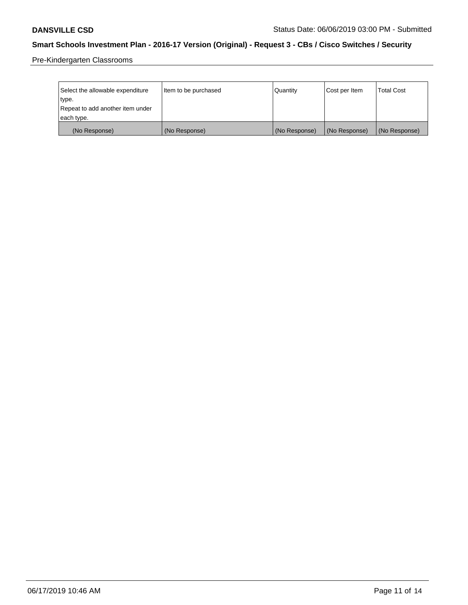Pre-Kindergarten Classrooms

| Select the allowable expenditure | Item to be purchased | Quantity      | Cost per Item | <b>Total Cost</b> |
|----------------------------------|----------------------|---------------|---------------|-------------------|
| type.                            |                      |               |               |                   |
| Repeat to add another item under |                      |               |               |                   |
| each type.                       |                      |               |               |                   |
| (No Response)                    | (No Response)        | (No Response) | (No Response) | (No Response)     |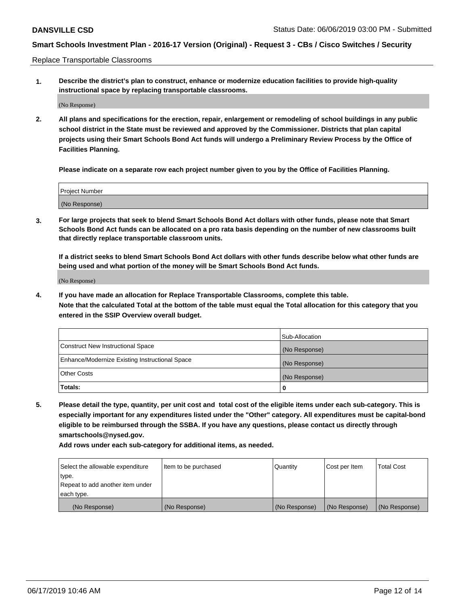Replace Transportable Classrooms

**1. Describe the district's plan to construct, enhance or modernize education facilities to provide high-quality instructional space by replacing transportable classrooms.**

(No Response)

**2. All plans and specifications for the erection, repair, enlargement or remodeling of school buildings in any public school district in the State must be reviewed and approved by the Commissioner. Districts that plan capital projects using their Smart Schools Bond Act funds will undergo a Preliminary Review Process by the Office of Facilities Planning.**

**Please indicate on a separate row each project number given to you by the Office of Facilities Planning.**

| Project Number |  |
|----------------|--|
|                |  |
|                |  |
|                |  |
|                |  |
| (No Response)  |  |
|                |  |
|                |  |
|                |  |

**3. For large projects that seek to blend Smart Schools Bond Act dollars with other funds, please note that Smart Schools Bond Act funds can be allocated on a pro rata basis depending on the number of new classrooms built that directly replace transportable classroom units.**

**If a district seeks to blend Smart Schools Bond Act dollars with other funds describe below what other funds are being used and what portion of the money will be Smart Schools Bond Act funds.**

(No Response)

**4. If you have made an allocation for Replace Transportable Classrooms, complete this table. Note that the calculated Total at the bottom of the table must equal the Total allocation for this category that you entered in the SSIP Overview overall budget.**

|                                                | Sub-Allocation |
|------------------------------------------------|----------------|
| Construct New Instructional Space              | (No Response)  |
| Enhance/Modernize Existing Instructional Space | (No Response)  |
| <b>Other Costs</b>                             | (No Response)  |
| Totals:                                        | 0              |

**5. Please detail the type, quantity, per unit cost and total cost of the eligible items under each sub-category. This is especially important for any expenditures listed under the "Other" category. All expenditures must be capital-bond eligible to be reimbursed through the SSBA. If you have any questions, please contact us directly through smartschools@nysed.gov.**

| Select the allowable expenditure | Item to be purchased | Quantity      | Cost per Item | Total Cost    |
|----------------------------------|----------------------|---------------|---------------|---------------|
| type.                            |                      |               |               |               |
| Repeat to add another item under |                      |               |               |               |
| each type.                       |                      |               |               |               |
| (No Response)                    | (No Response)        | (No Response) | (No Response) | (No Response) |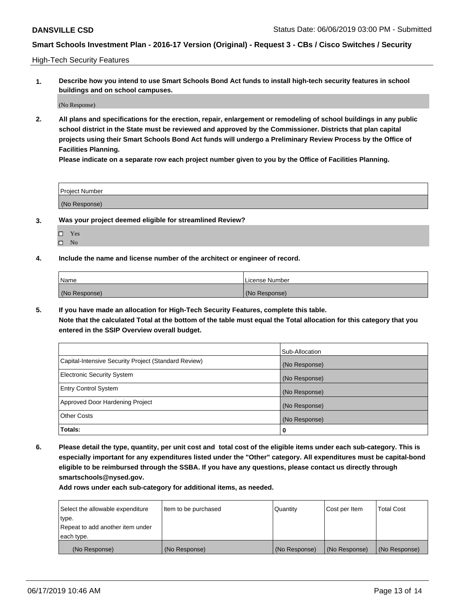High-Tech Security Features

**1. Describe how you intend to use Smart Schools Bond Act funds to install high-tech security features in school buildings and on school campuses.**

(No Response)

**2. All plans and specifications for the erection, repair, enlargement or remodeling of school buildings in any public school district in the State must be reviewed and approved by the Commissioner. Districts that plan capital projects using their Smart Schools Bond Act funds will undergo a Preliminary Review Process by the Office of Facilities Planning.** 

**Please indicate on a separate row each project number given to you by the Office of Facilities Planning.**

| <b>Project Number</b> |  |
|-----------------------|--|
| (No Response)         |  |

- **3. Was your project deemed eligible for streamlined Review?**
	- Yes
	- $\square$  No
- **4. Include the name and license number of the architect or engineer of record.**

| <b>Name</b>   | License Number |
|---------------|----------------|
| (No Response) | (No Response)  |

**5. If you have made an allocation for High-Tech Security Features, complete this table.**

**Note that the calculated Total at the bottom of the table must equal the Total allocation for this category that you entered in the SSIP Overview overall budget.**

|                                                      | Sub-Allocation |
|------------------------------------------------------|----------------|
| Capital-Intensive Security Project (Standard Review) | (No Response)  |
| <b>Electronic Security System</b>                    | (No Response)  |
| <b>Entry Control System</b>                          | (No Response)  |
| Approved Door Hardening Project                      | (No Response)  |
| <b>Other Costs</b>                                   | (No Response)  |
| Totals:                                              | 0              |

**6. Please detail the type, quantity, per unit cost and total cost of the eligible items under each sub-category. This is especially important for any expenditures listed under the "Other" category. All expenditures must be capital-bond eligible to be reimbursed through the SSBA. If you have any questions, please contact us directly through smartschools@nysed.gov.**

| Select the allowable expenditure | Item to be purchased | Quantity      | Cost per Item | <b>Total Cost</b> |
|----------------------------------|----------------------|---------------|---------------|-------------------|
| type.                            |                      |               |               |                   |
| Repeat to add another item under |                      |               |               |                   |
| each type.                       |                      |               |               |                   |
| (No Response)                    | (No Response)        | (No Response) | (No Response) | (No Response)     |